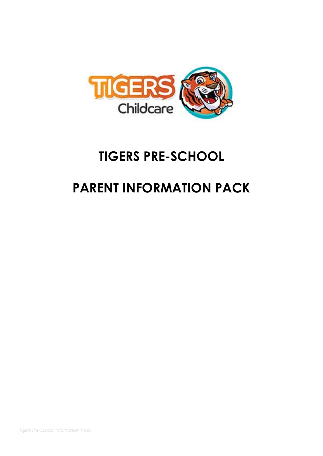

# **TIGERS PRE-SCHOOL**

## **PARENT INFORMATION PACK**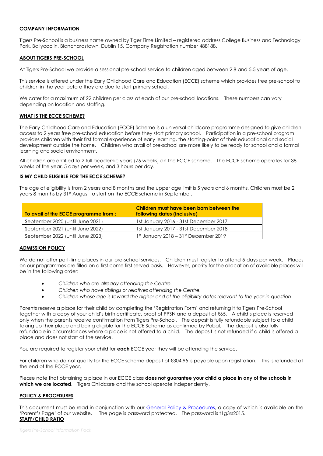## **COMPANY INFORMATION**

Tigers Pre-School is a business name owned by Tiger Time Limited – registered address College Business and Technology Park, Ballycoolin, Blanchardstown, Dublin 15. Company Registration number 488188.

#### **ABOUT TIGERS PRE-SCHOOL**

At Tigers Pre-School we provide a sessional pre-school service to children aged between 2.8 and 5.5 years of age.

This service is offered under the Early Childhood Care and Education (ECCE) scheme which provides free pre-school to children in the year before they are due to start primary school.

We cater for a maximum of 22 children per class at each of our pre-school locations. These numbers can vary depending on location and staffing.

## **WHAT IS THE ECCE SCHEME?**

The Early Childhood Care and Education (ECCE) Scheme is a universal childcare programme designed to give children access to 2 years free pre-school education before they start primary school. Participation in a pre-school program provides children with their first formal experience of early learning, the starting-point of their educational and social development outside the home. Children who avail of pre-school are more likely to be ready for school and a formal learning and social environment.

All children are entitled to 2 full academic years (76 weeks) on the ECCE scheme. The ECCE scheme operates for 38 weeks of the year, 5 days per week, and 3 hours per day.

## **IS MY CHILD ELIGIBLE FOR THE ECCE SCHEME?**

The age of eligibility is from 2 years and 8 months and the upper age limit is 5 years and 6 months. Children must be 2 years 8 months by 31<sup>st</sup> August to start on the ECCE scheme in September.

| To avail of the ECCE programme from : | Children must have been born between the<br>following dates (inclusive) |
|---------------------------------------|-------------------------------------------------------------------------|
| September 2020 (until June 2021)      | 1st January 2016 - 31st December 2017                                   |
| September 2021 (until June 2022)      | 1st January 2017 - 31st December 2018                                   |
| September 2022 (until June 2023)      | $1st$ January 2018 – 31 $st$ December 2019                              |

#### **ADMISSION POLICY**

We do not offer part-time places in our pre-school services. Children must register to attend 5 days per week. Places on our programmes are filled on a first come first served basis.However, priority for the allocation of available places will be in the following order:

- *Children who are already attending the Centre.*
- *Children who have siblings or relatives attending the Centre.*
- *Children whose age is toward the higher end of the eligibility dates relevant to the year in question*

Parents reserve a place for their child by completing the 'Registration Form' and returning it to Tigers Pre-School together with a copy of your child's birth certificate, proof of PPSN and a deposit of €65. A child's place is reserved only when the parents receive confirmation from Tigers Pre-School. The deposit is fully refundable subject to a child taking up their place and being eligible for the ECCE Scheme as confirmed by Pobal. The deposit is also fully refundable in circumstances where a place is not offered to a child. The deposit is not refunded if a child is offered a place and does not start at the service.

You are required to register your child for **each** ECCE year they will be attending the service.

For children who do not qualify for the ECCE scheme deposit of €304.95 is payable upon registration. This is refunded at the end of the ECCE year.

Please note that obtaining a place in our ECCE class **does not guarantee your child a place in any of the schools in which we are located**. Tigers Childcare and the school operate independently.

#### **POLICY & PROCEDURES**

This document must be read in conjunction with our [General Policy & Procedures,](https://mk0tigerschildckgdhm.kinstacdn.com/wp-content/uploads/2020/03/Tigers-Childcare-Policies-Procedures.pdf) a copy of which is available on the 'Parent's Page' of our website. The page is password protected. The password is t1g3rs2015. **STAFF/CHILD RATIO**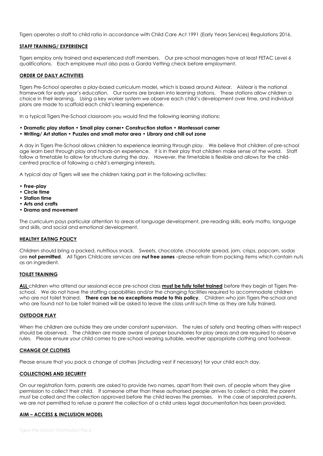Tigers operates a staff to child ratio in accordance with Child Care Act 1991 (Early Years Services) Regulations 2016.

## **STAFF TRAINING/ EXPERIENCE**

Tigers employ only trained and experienced staff members. Our pre-school managers have at least FETAC Level 6 qualifications. Each employee must also pass a Garda Vetting check before employment.

## **ORDER OF DAILY ACTIVITIES**

Tigers Pre-School operates a play-based curriculum model, which is based around Aistear. Aistear is the national framework for early year's education. Our rooms are broken into learning stations. These stations allow children a choice in their learning. Using a key worker system we observe each child's development over time, and individual plans are made to scaffold each child's learning experience.

In a typical Tigers Pre-School classroom you would find the following learning stations:

- **Dramatic play station Small play corner• Construction station Montessori corner**
- **Writing/ Art station Puzzles and small motor area Library and chill out zone**

A day in Tigers Pre-School allows children to experience learning through play. We believe that children of pre-school age learn best through play and hands-on experience. It is in their play that children make sense of the world. Staff follow a timetable to allow for structure during the day. However, the timetable is flexible and allows for the childcentred practice of following a child's emerging interests.

A typical day at Tigers will see the children taking part in the following activities:

- **Free-play**
- **Circle time**
- **Station time**
- **Arts and crafts**
- **Drama and movement**

The curriculum pays particular attention to areas of language development, pre-reading skills, early maths, language and skills, and social and emotional development.

#### **HEALTHY EATING POLICY**

Children should bring a packed, nutritious snack. Sweets, chocolate, chocolate spread, jam, crisps, popcorn, sodas are **not permitted**. All Tigers Childcare services are **nut free zones** –please refrain from packing items which contain nuts as an ingredient.

#### **TOILET TRAINING**

**ALL** children who attend our sessional ecce pre-school class **must be fully toilet trained** before they begin at Tigers Preschool. We do not have the staffing capabilities and/or the changing facilities required to accommodate children who are not toilet trained. **There can be no exceptions made to this policy**. Children who join Tigers Pre-school and who are found not to be toilet trained will be asked to leave the class until such time as they are fully trained.

#### **OUTDOOR PLAY**

When the children are outside they are under constant supervision. The rules of safety and treating others with respect should be observed. The children are made aware of proper boundaries for play areas and are required to observe rules. Please ensure your child comes to pre-school wearing suitable, weather appropriate clothing and footwear.

#### **CHANGE OF CLOTHES**

Please ensure that you pack a change of clothes (including vest if necessary) for your child each day.

#### **COLLECTIONS AND SECURITY**

On our registration form, parents are asked to provide two names, apart from their own, of people whom they give permission to collect their child. If someone other than these authorised people arrives to collect a child, the parent must be called and the collection approved before the child leaves the premises. In the case of separated parents, we are not permitted to refuse a parent the collection of a child unless legal documentation has been provided.

#### **AIM – ACCESS & INCLUSION MODEL**